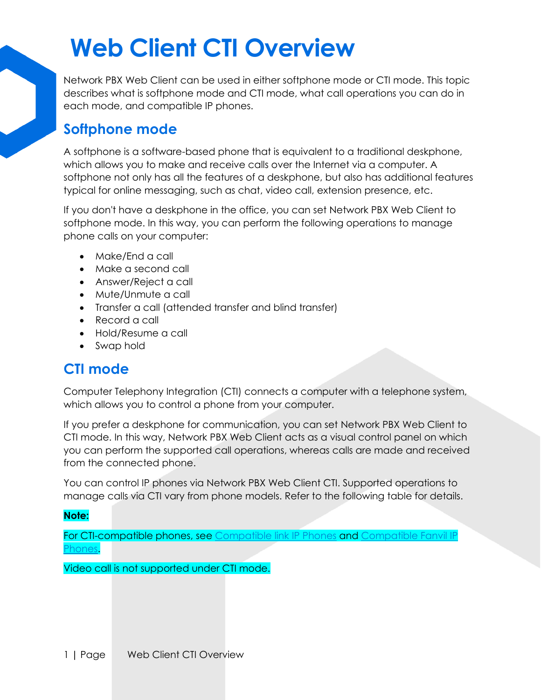Network PBX Web Client can be used in either softphone mode or CTI mode. This topic describes what is softphone mode and CTI mode, what call operations you can do in each mode, and compatible IP phones.

#### **Softphone mode**

A softphone is a software-based phone that is equivalent to a traditional deskphone, which allows you to make and receive calls over the Internet via a computer. A softphone not only has all the features of a deskphone, but also has additional features typical for online messaging, such as chat, video call, extension presence, etc.

If you don't have a deskphone in the office, you can set Network PBX Web Client to softphone mode. In this way, you can perform the following operations to manage phone calls on your computer:

- Make/End a call
- Make a second call
- Answer/Reject a call
- Mute/Unmute a call
- Transfer a call (attended transfer and blind transfer)
- Record a call
- Hold/Resume a call
- Swap hold

#### **CTI mode**

Computer Telephony Integration (CTI) connects a computer with a telephone system, which allows you to control a phone from your computer.

If you prefer a deskphone for communication, you can set Network PBX Web Client to CTI mode. In this way, Network PBX Web Client acts as a visual control panel on which you can perform the supported call operations, whereas calls are made and received from the connected phone.

You can control IP phones via Network PBX Web Client CTI. Supported operations to manage calls via CTI vary from phone models. Refer to the following table for details.

#### **Note:**

For CTI-compatible phones, see [Compatible link IP Phones](https://help.yeastar.com/en/p-series-cloud-edition/web-client-user-guide/linkus-web-client-cti-overview.html#linkus-web-client-cti__section_yhq_4bj_fpb) and Compatible Fanvil IP hones.

Video call is not supported under CTI mode.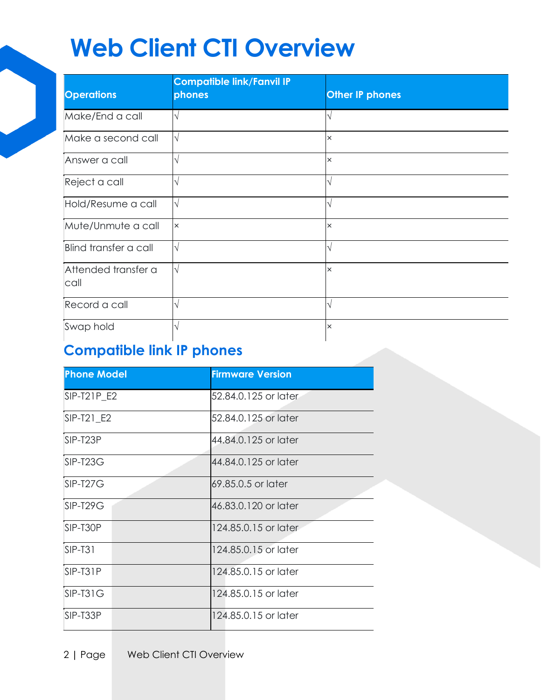| <b>Operations</b>           | <b>Compatible link/Fanvil IP</b><br>phones | <b>Other IP phones</b> |
|-----------------------------|--------------------------------------------|------------------------|
| Make/End a call             |                                            |                        |
| Make a second call          |                                            | $\times$               |
| Answer a call               |                                            | $\times$               |
| Reject a call               |                                            | ٦                      |
| Hold/Resume a call          |                                            |                        |
| Mute/Unmute a call          | $\times$                                   | $\times$               |
| Blind transfer a call       |                                            | N                      |
| Attended transfer a<br>call |                                            | $\times$               |
| Record a call               |                                            |                        |
| Swap hold                   |                                            | $\times$               |

### **Compatible link IP phones**

| <b>Phone Model</b> | <b>Firmware Version</b> |
|--------------------|-------------------------|
| SIP-T21P_E2        | 52.84.0.125 or later    |
| SIP-T21 E2         | 52.84.0.125 or later    |
| SIP-T23P           | 44.84.0.125 or later    |
| SIP-T23G           | 44.84.0.125 or later    |
| $SIP-T27G$         | 69.85.0.5 or later      |
| $SIP-T29G$         | 46.83.0.120 or later    |
| SIP-T30P           | 124,85,0,15 or later    |
| $SIP-T31$          | 124,85,0,15 or later    |
| SIP-T31P           | 124.85.0.15 or later    |
| $SIP-T31G$         | 124,85.0.15 or later    |
| SIP-T33P           | 124.85.0.15 or later    |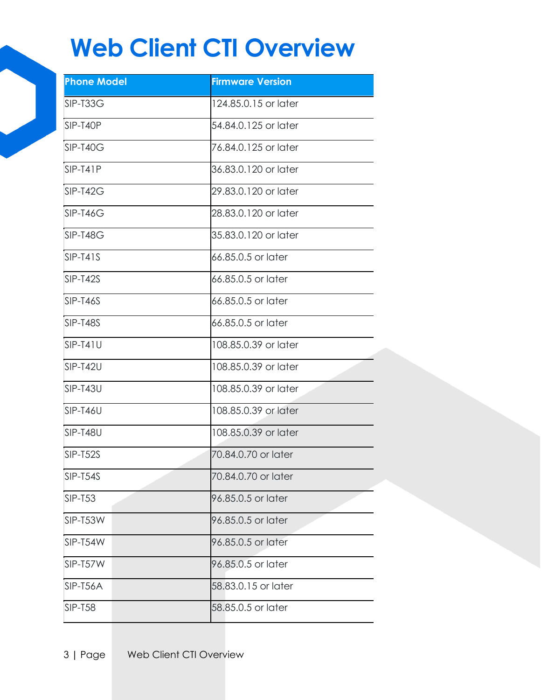| <b>Phone Model</b> | <b>Firmware Version</b> |
|--------------------|-------------------------|
| SIP-T33G           | 124.85.0.15 or later    |
| SIP-T40P           | 54.84.0.125 or later    |
| SIP-T40G           | 76.84.0.125 or later    |
| $SIP-T41P$         | 36.83.0.120 or later    |
| SIP-T42G           | 29.83.0.120 or later    |
| $SIP-T46G$         | 28.83.0.120 or later    |
| SIP-T48G           | 35.83.0.120 or later    |
| $SIP-T41S$         | 66.85.0.5 or later      |
| SIP-T42S           | 66.85.0.5 or later      |
| $SIP-T46S$         | 66.85.0.5 or later      |
| SIP-T48S           | 66.85.0.5 or later      |
| $SIP-T41U$         | 108.85.0.39 or later    |
| SIP-T42U           | 108.85.0.39 or later    |
| SIP-T43U           | 108.85.0.39 or later    |
| SIP-T46U           | 108.85.0.39 or later    |
| SIP-T48U           | 108.85.0.39 or later    |
| SIP-T52S           | 70.84.0.70 or later     |
| SIP-T54S           | 70.84.0.70 or later     |
| <b>SIP-T53</b>     | 96.85.0.5 or later      |
| SIP-T53W           | 96.85.0.5 or later      |
| SIP-T54W           | 96.85.0.5 or later      |
| SIP-T57W           | 96.85.0.5 or later      |
| SIP-T56A           | 58.83.0.15 or later     |
| <b>SIP-T58</b>     | 58.85.0.5 or later      |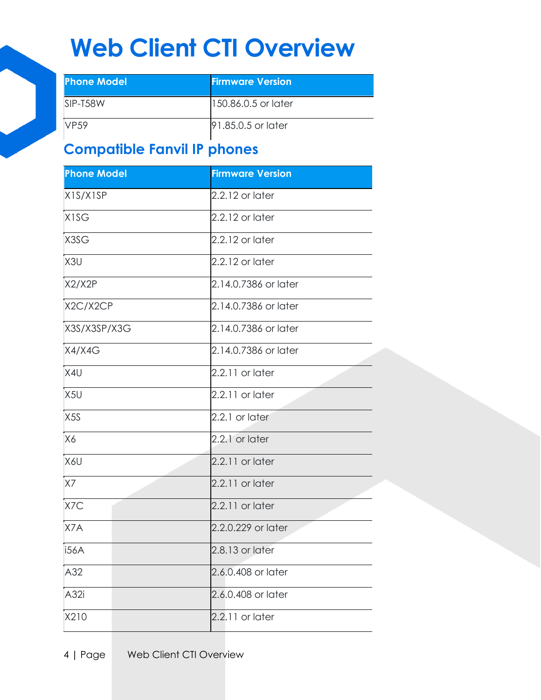| <b>Phone Model</b> | <b>Firmware Version</b> |
|--------------------|-------------------------|
| $SIP-T58W$         | 150.86.0.5 or later     |
| <b>VP59</b>        | 191,85,0,5 or later     |

### **Compatible Fanvil IP phones**

| <b>Phone Model</b> | <b>Firmware Version</b> |
|--------------------|-------------------------|
| X1S/X1SP           | $2.2.12$ or later       |
| <b>X1SG</b>        | $2.2.12$ or later       |
| X3SG               | $2.2.12$ or later       |
| X <sub>3U</sub>    | $2.2.12$ or later       |
| X2/X2P             | 2.14.0.7386 or later    |
| X2C/X2CP           | 2.14.0.7386 or later    |
| X3S/X3SP/X3G       | 2.14.0.7386 or later    |
| X4/X4G             | 2.14.0.7386 or later    |
| X4U                | $2.2.11$ or later       |
| X <sub>5U</sub>    | $2.2.11$ or later       |
| X <sub>5</sub> S   | 2.2.1 or later          |
| X6                 | 2.2.1 or later          |
| X6U                | $2.2.11$ or later       |
| <b>X7</b>          | $2.2.11$ or later       |
| X7C                | $2.2.11$ or later       |
| X7A                | 2.2.0.229 or later      |
| <b>i56A</b>        | $2.8.13$ or later       |
| A32                | 2.6.0.408 or later      |
| A32i               | 2.6.0.408 or later      |
| X210               | 2.2.11 or later         |